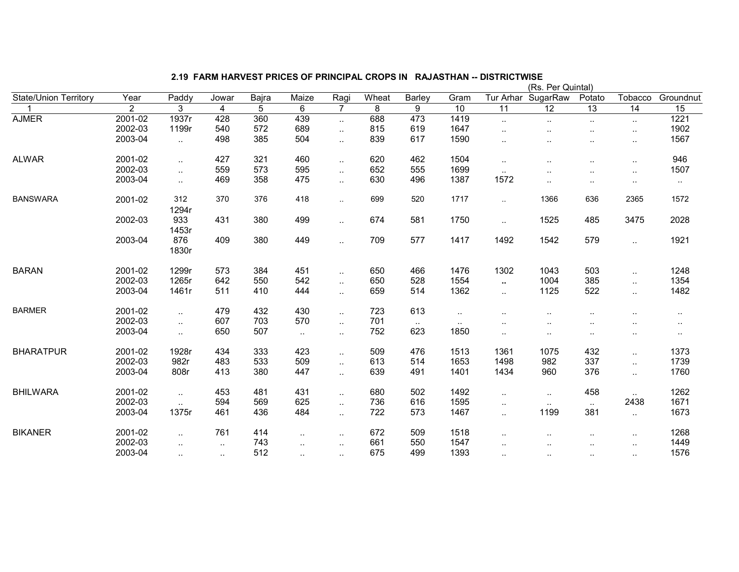| State/Union Territory | Year           | Paddy        | Jowar  | Bajra | Maize     | Ragi                 | Wheat | <b>Barley</b> | Gram                 |                      | Tur Arhar SugarRaw | Potato               | Tobacco                | Groundnut |
|-----------------------|----------------|--------------|--------|-------|-----------|----------------------|-------|---------------|----------------------|----------------------|--------------------|----------------------|------------------------|-----------|
|                       | $\overline{2}$ | 3            | 4      | 5     | 6         | $\overline{7}$       | 8     | 9             | 10                   | 11                   | 12                 | 13                   | 14                     | 15        |
| <b>AJMER</b>          | 2001-02        | 1937r        | 428    | 360   | 439       | $\mathbf{L}$         | 688   | 473           | 1419                 | $\ldots$             | $\sim$             | $\sim$               | $\sim$                 | 1221      |
|                       | 2002-03        | 1199r        | 540    | 572   | 689       | $\ddotsc$            | 815   | 619           | 1647                 | $\ddot{\phantom{a}}$ |                    | $\cdot$ .            | $\ddot{\phantom{a}}$ . | 1902      |
|                       | 2003-04        | $\sim$       | 498    | 385   | 504       | $\ddotsc$            | 839   | 617           | 1590                 |                      |                    |                      | $\sim$                 | 1567      |
| <b>ALWAR</b>          | 2001-02        | $\ddotsc$    | 427    | 321   | 460       | $\sim$               | 620   | 462           | 1504                 | $\ddotsc$            | $\cdot$ .          | $\ddot{\phantom{a}}$ | $\ddotsc$              | 946       |
|                       | 2002-03        | $\sim$       | 559    | 573   | 595       | $\ddotsc$            | 652   | 555           | 1699                 | $\sim$               |                    |                      | $\sim$                 | 1507      |
|                       | 2003-04        | $\ddotsc$    | 469    | 358   | 475       | $\ddotsc$            | 630   | 496           | 1387                 | 1572                 | $\cdot$ .          | $\ddot{\phantom{a}}$ | $\sim$                 | $\sim$    |
| <b>BANSWARA</b>       | 2001-02        | 312<br>1294r | 370    | 376   | 418       | $\sim$               | 699   | 520           | 1717                 | $\sim$               | 1366               | 636                  | 2365                   | 1572      |
|                       | 2002-03        | 933<br>1453r | 431    | 380   | 499       | $\ddotsc$            | 674   | 581           | 1750                 | $\ddotsc$            | 1525               | 485                  | 3475                   | 2028      |
|                       | 2003-04        | 876<br>1830r | 409    | 380   | 449       | $\ddotsc$            | 709   | 577           | 1417                 | 1492                 | 1542               | 579                  | $\ddotsc$              | 1921      |
| <b>BARAN</b>          | 2001-02        | 1299r        | 573    | 384   | 451       | $\ddotsc$            | 650   | 466           | 1476                 | 1302                 | 1043               | 503                  | $\ddotsc$              | 1248      |
|                       | 2002-03        | 1265r        | 642    | 550   | 542       | $\ddotsc$            | 650   | 528           | 1554                 | $\mathbf{u}$         | 1004               | 385                  | $\ddotsc$              | 1354      |
|                       | 2003-04        | 1461r        | 511    | 410   | 444       | $\ddotsc$            | 659   | 514           | 1362                 | $\ddotsc$            | 1125               | 522                  | $\ddotsc$              | 1482      |
| <b>BARMER</b>         | 2001-02        | $\ddotsc$    | 479    | 432   | 430       | $\sim$               | 723   | 613           | $\ddot{\phantom{1}}$ |                      | $\cdot$ .          |                      | $\ddotsc$              | $\cdot$ . |
|                       | 2002-03        | $\ddotsc$    | 607    | 703   | 570       | $\ddotsc$            | 701   | $\sim$        | $\mathbf{L}$         | $\sim$ $\sim$        | $\cdots$           | $\sim$               | $\sim$                 | $\sim$    |
|                       | 2003-04        | $\sim$       | 650    | 507   | $\sim$    | $\sim$               | 752   | 623           | 1850                 | $\cdot$ .            | $\cdot$ .          | $\sim$               | $\sim$                 | $\cdot$ . |
| <b>BHARATPUR</b>      | 2001-02        | 1928r        | 434    | 333   | 423       | $\ddot{\phantom{1}}$ | 509   | 476           | 1513                 | 1361                 | 1075               | 432                  | $\ddot{\phantom{a}}$ . | 1373      |
|                       | 2002-03        | 982r         | 483    | 533   | 509       | $\ddotsc$            | 613   | 514           | 1653                 | 1498                 | 982                | 337                  | $\ddotsc$              | 1739      |
|                       | 2003-04        | 808r         | 413    | 380   | 447       | $\sim$               | 639   | 491           | 1401                 | 1434                 | 960                | 376                  | $\ddot{\phantom{1}}$   | 1760      |
| <b>BHILWARA</b>       | 2001-02        | $\sim$       | 453    | 481   | 431       | $\ddotsc$            | 680   | 502           | 1492                 | $\cdot$ .            | $\sim$             | 458                  |                        | 1262      |
|                       | 2002-03        |              | 594    | 569   | 625       | $\sim$               | 736   | 616           | 1595                 | $\cdot$ .            | $\sim$             | $\sim$               | 2438                   | 1671      |
|                       | 2003-04        | 1375r        | 461    | 436   | 484       | $\ddotsc$            | 722   | 573           | 1467                 | $\ddotsc$            | 1199               | 381                  | $\sim$ $\sim$          | 1673      |
| <b>BIKANER</b>        | 2001-02        | $\ddotsc$    | 761    | 414   | $\sim$    | $\ddot{\phantom{1}}$ | 672   | 509           | 1518                 | $\ddot{\phantom{a}}$ |                    | $\ddot{\phantom{a}}$ | $\ddot{\phantom{a}}$ . | 1268      |
|                       | 2002-03        | $\ddotsc$    | $\sim$ | 743   | $\ddotsc$ | $\cdot$ .            | 661   | 550           | 1547                 | ٠.                   |                    |                      | $\sim$                 | 1449      |
|                       | 2003-04        | $\sim$       | $\sim$ | 512   | $\ddotsc$ | $\cdot$ .            | 675   | 499           | 1393                 |                      | $\cdot$ .          | ٠.                   | $\ddot{\phantom{a}}$ . | 1576      |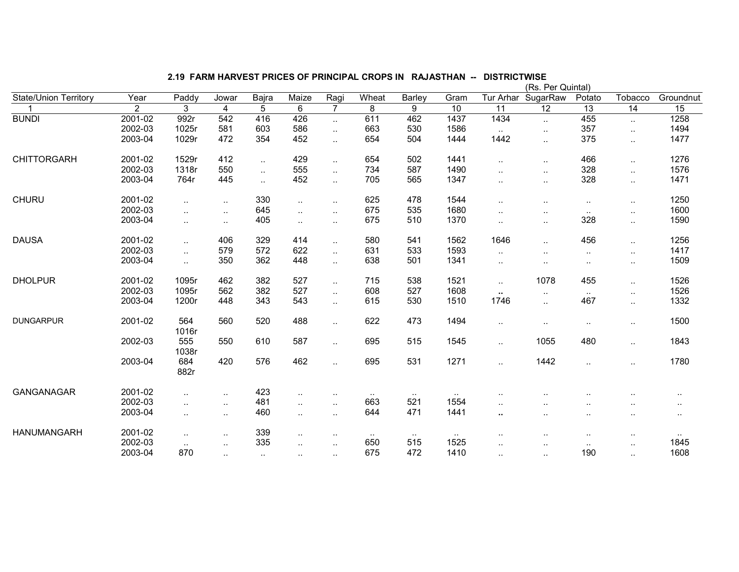|                       |                |              |                      |                |                      |                        |        | (Rs. Per Quintal) |           |                      |                      |                      |                      |           |  |
|-----------------------|----------------|--------------|----------------------|----------------|----------------------|------------------------|--------|-------------------|-----------|----------------------|----------------------|----------------------|----------------------|-----------|--|
| State/Union Territory | Year           | Paddy        | Jowar                | Bajra          | Maize                | Ragi                   | Wheat  | Barley            | Gram      | Tur Arhar            | SugarRaw             | Potato               | Tobacco              | Groundnut |  |
|                       | $\overline{2}$ | 3            | $\overline{4}$       | $\overline{5}$ | 6                    | $\overline{7}$         | 8      | 9                 | 10        | $\overline{11}$      | $\overline{12}$      | $\overline{13}$      | 14                   | 15        |  |
| <b>BUNDI</b>          | 2001-02        | 992r         | 542                  | 416            | 426                  | $\ddotsc$              | 611    | 462               | 1437      | 1434                 | $\ddotsc$            | 455                  | $\sim$               | 1258      |  |
|                       | 2002-03        | 1025r        | 581                  | 603            | 586                  | $\ddotsc$              | 663    | 530               | 1586      | $\sim$               | $\cdot$ .            | 357                  | $\ddotsc$            | 1494      |  |
|                       | 2003-04        | 1029r        | 472                  | 354            | 452                  | $\ddotsc$              | 654    | 504               | 1444      | 1442                 |                      | 375                  | $\ldots$             | 1477      |  |
| <b>CHITTORGARH</b>    | 2001-02        | 1529r        | 412                  | $\cdot$ .      | 429                  | $\ddot{\phantom{a}}$ . | 654    | 502               | 1441      |                      | $\ddot{\phantom{a}}$ | 466                  | $\ldots$             | 1276      |  |
|                       | 2002-03        | 1318r        | 550                  | $\ddotsc$      | 555                  | $\ddotsc$              | 734    | 587               | 1490      | $\ddotsc$            | $\cdot$ .            | 328                  | $\ddotsc$            | 1576      |  |
|                       | 2003-04        | 764r         | 445                  | $\ddotsc$      | 452                  | $\ddotsc$              | 705    | 565               | 1347      | $\ddotsc$            | $\ddotsc$            | 328                  | $\ddotsc$            | 1471      |  |
| <b>CHURU</b>          | 2001-02        | $\ddotsc$    | $\ddotsc$            | 330            | $\ddotsc$            | $\ddotsc$              | 625    | 478               | 1544      |                      |                      | $\ddotsc$            | $\cdot$ .            | 1250      |  |
|                       | 2002-03        |              | $\ddot{\phantom{1}}$ | 645            | $\ddotsc$            | $\ddotsc$              | 675    | 535               | 1680      | ٠.                   |                      | $\ldots$             | $\cdot$ .            | 1600      |  |
|                       | 2003-04        | $\cdot$ .    | $\ldots$             | 405            | $\ddot{\phantom{1}}$ | $\ddotsc$              | 675    | 510               | 1370      | ٠.                   | $\sim$               | 328                  | $\ldots$             | 1590      |  |
| <b>DAUSA</b>          | 2001-02        | $\cdot$ .    | 406                  | 329            | 414                  | $\ddot{\phantom{a}}$   | 580    | 541               | 1562      | 1646                 |                      | 456                  | $\ldots$             | 1256      |  |
|                       | 2002-03        | $\ddotsc$    | 579                  | 572            | 622                  | $\mathbf{r}$ .         | 631    | 533               | 1593      | $\ddotsc$            | $\cdot$ .            | $\ddotsc$            | $\ldots$             | 1417      |  |
|                       | 2003-04        | $\ddotsc$    | 350                  | 362            | 448                  | $\ddotsc$              | 638    | 501               | 1341      | $\cdot$ .            | $\cdot$ .            | $\cdot$ .            | $\sim$               | 1509      |  |
| <b>DHOLPUR</b>        | 2001-02        | 1095r        | 462                  | 382            | 527                  | $\ddotsc$              | 715    | 538               | 1521      | $\sim$               | 1078                 | 455                  | $\ldots$             | 1526      |  |
|                       | 2002-03        | 1095r        | 562                  | 382            | 527                  | $\ddotsc$              | 608    | 527               | 1608      | $\ddot{\phantom{1}}$ | $\sim$               | $\sim$ $\sim$        | $\ldots$             | 1526      |  |
|                       | 2003-04        | 1200r        | 448                  | 343            | 543                  | Ω.                     | 615    | 530               | 1510      | 1746                 | $\ddotsc$            | 467                  | $\ddotsc$            | 1332      |  |
| <b>DUNGARPUR</b>      | 2001-02        | 564<br>1016r | 560                  | 520            | 488                  | $\ddotsc$              | 622    | 473               | 1494      | $\cdot$ .            | $\cdot$ .            | $\cdot$ .            | $\sim$               | 1500      |  |
|                       | 2002-03        | 555<br>1038r | 550                  | 610            | 587                  | $\ddotsc$              | 695    | 515               | 1545      | $\cdot$ .            | 1055                 | 480                  | $\ldots$             | 1843      |  |
|                       | 2003-04        | 684<br>882r  | 420                  | 576            | 462                  | $\ddotsc$              | 695    | 531               | 1271      |                      | 1442                 | $\ddotsc$            | $\cdot$ .            | 1780      |  |
| GANGANAGAR            | 2001-02        | $\cdot$ .    | $\ldots$             | 423            | $\ddot{\phantom{1}}$ | $\sim$                 |        | $\sim$            |           | $\ddot{\phantom{a}}$ |                      | $\cdot$ .            |                      | $\cdot$ . |  |
|                       | 2002-03        | $\ddotsc$    | $\ddotsc$            | 481            | $\ddotsc$            | $\ddotsc$              | 663    | 521               | 1554      | $\ddotsc$            |                      | $\ddot{\phantom{a}}$ | $\ddot{\phantom{a}}$ |           |  |
|                       | 2003-04        | $\ddotsc$    | $\ddotsc$            | 460            | $\ddotsc$            | $\ddotsc$              | 644    | 471               | 1441      | ٠.                   |                      | $\ddot{\phantom{a}}$ | $\cdot$ .            | $\cdot$ . |  |
| <b>HANUMANGARH</b>    | 2001-02        | $\cdot$ .    | $\sim$               | 339            | $\ddotsc$            | $\ddot{\phantom{a}}$   | $\sim$ | $\sim$            | $\ddotsc$ |                      |                      | $\sim$               | $\cdot$ .            |           |  |
|                       | 2002-03        | $\sim$       | $\ldots$             | 335            | $\sim$               | $\ddotsc$              | 650    | 515               | 1525      |                      |                      | $\cdots$             | $\cdot$ .            | 1845      |  |
|                       | 2003-04        | 870          | $\sim$               | $\sim$         | $\cdot$ .            | $\cdot$ .              | 675    | 472               | 1410      |                      | $\cdot$ .            | 190                  | $\cdot$ .            | 1608      |  |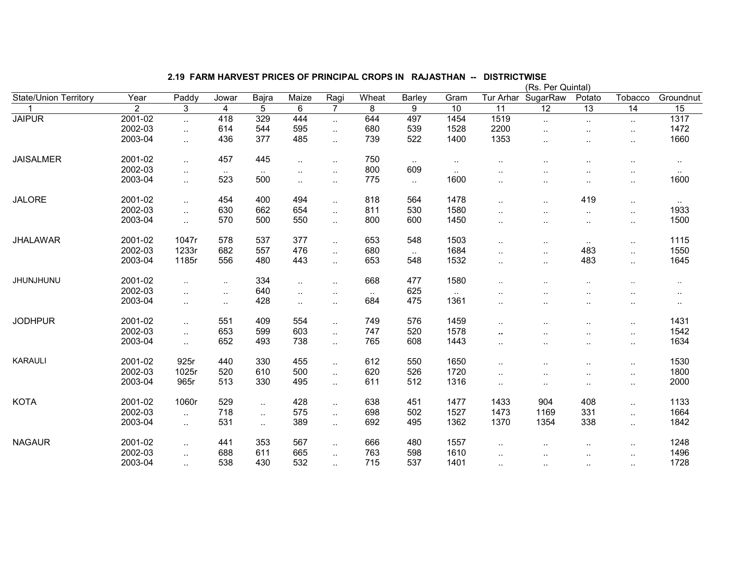|                       |                |                        |                      |                      |                        |                             |        |                     | (Rs. Per Quintal    |                      |                      |                      |                      |                |  |  |
|-----------------------|----------------|------------------------|----------------------|----------------------|------------------------|-----------------------------|--------|---------------------|---------------------|----------------------|----------------------|----------------------|----------------------|----------------|--|--|
| State/Union Territory | Year           | Paddy                  | Jowar                | Bajra                | Maize                  | Ragi                        | Wheat  | Barley              | Gram                | Tur Arhar            | SugarRaw             | Potato               | Tobacco              | Groundnut      |  |  |
|                       | $\overline{2}$ | 3                      | 4                    | 5                    | 6                      | $\overline{7}$              | 8      | 9                   | 10                  | $\overline{11}$      | $\overline{12}$      | $\overline{13}$      | 14                   | 15             |  |  |
| <b>JAIPUR</b>         | 2001-02        | Ω.                     | 418                  | 329                  | 444                    | $\ddotsc$                   | 644    | 497                 | 1454                | 1519                 | $\ddotsc$            | $\sim$               | $\sim$               | 1317           |  |  |
|                       | 2002-03        | $\ddotsc$              | 614                  | 544                  | 595                    | x.                          | 680    | 539                 | 1528                | 2200                 | $\ddot{\phantom{a}}$ | $\cdot$ .            | $\cdot$ .            | 1472           |  |  |
|                       | 2003-04        | $\ddotsc$              | 436                  | 377                  | 485                    | $\mathbf{r}$ .              | 739    | 522                 | 1400                | 1353                 | $\cdot$ .            | $\ddot{\phantom{a}}$ | $\cdot$ .            | 1660           |  |  |
| <b>JAISALMER</b>      | 2001-02        | $\ddotsc$              | 457                  | 445                  | $\ddot{\phantom{1}}$   |                             | 750    |                     |                     |                      |                      |                      |                      |                |  |  |
|                       | 2002-03        |                        |                      |                      |                        | $\ddot{\phantom{a}}$        | 800    | $\sim$<br>609       | $\sim$<br>$\ddotsc$ | $\ddot{\phantom{a}}$ |                      | ٠.                   | $\cdot$ .            | $\cdot$ .      |  |  |
|                       | 2003-04        | $\ddotsc$<br>$\ddotsc$ | $\sim$ $\sim$<br>523 | $\sim$ $\sim$<br>500 | $\ddotsc$<br>$\ddotsc$ | $\ddotsc$                   | 775    | $\mathbf{L}$        | 1600                | $\ddot{\phantom{a}}$ | $\cdot$ .            | $\ddot{\phantom{a}}$ | $\ddotsc$            | $\sim$<br>1600 |  |  |
|                       |                |                        |                      |                      |                        | $\ddot{\phantom{a}}$        |        |                     |                     |                      |                      | $\ddotsc$            | $\ddotsc$            |                |  |  |
| <b>JALORE</b>         | 2001-02        | $\ddotsc$              | 454                  | 400                  | 494                    | $\ddotsc$                   | 818    | 564                 | 1478                | $\ddot{\phantom{a}}$ | $\cdot$ .            | 419                  | $\sim$ .             | $\sim$ $\sim$  |  |  |
|                       | 2002-03        | $\ddotsc$              | 630                  | 662                  | 654                    | $\mathcal{L}_{\mathcal{A}}$ | 811    | 530                 | 1580                | $\ddotsc$            | $\cdot$ .            | $\sim$               | $\sim$ .             | 1933           |  |  |
|                       | 2003-04        | ä.                     | 570                  | 500                  | 550                    | $\ddotsc$                   | 800    | 600                 | 1450                | $\sim$               | $\cdot$ .            | $\sim$               | $\cdot$ .            | 1500           |  |  |
| <b>JHALAWAR</b>       | 2001-02        | 1047r                  | 578                  | 537                  | 377                    | $\ddot{\phantom{a}}$        | 653    | 548                 | 1503                |                      |                      |                      |                      | 1115           |  |  |
|                       | 2002-03        | 1233r                  | 682                  | 557                  | 476                    |                             | 680    |                     | 1684                | $\ddotsc$            | $\cdot$ .            | $\sim$<br>483        | $\ddotsc$            | 1550           |  |  |
|                       | 2003-04        | 1185r                  | 556                  | 480                  | 443                    | Ω.                          | 653    | $\mathbf{L}$<br>548 | 1532                | $\ddotsc$            | $\ddotsc$            | 483                  | $\ddotsc$            | 1645           |  |  |
|                       |                |                        |                      |                      |                        | Ω.                          |        |                     |                     | $\ldots$             | $\cdot$ .            |                      | $\ddotsc$            |                |  |  |
| <b>JHUNJHUNU</b>      | 2001-02        | ä.                     | $\sim$               | 334                  | $\ddotsc$              | $\ddotsc$                   | 668    | 477                 | 1580                |                      |                      | $\sim$               |                      | $\ddotsc$      |  |  |
|                       | 2002-03        | $\ddotsc$              | $\sim$               | 640                  | $\ddot{\phantom{1}}$   | $\cdot$ .                   | $\sim$ | 625                 | $\sim$              |                      | $\ddotsc$            | ٠.                   | $\ddotsc$            | $\sim$         |  |  |
|                       | 2003-04        | $\ddotsc$              | $\sim$               | 428                  | $\ddotsc$              | $\ddotsc$                   | 684    | 475                 | 1361                | $\ddotsc$            |                      | $\sim$               | $\sim$               | $\cdots$       |  |  |
| <b>JODHPUR</b>        | 2001-02        | $\ddotsc$              | 551                  | 409                  | 554                    | $\ddotsc$                   | 749    | 576                 | 1459                | $\ddot{\phantom{a}}$ | $\cdot$ .            |                      | $\cdot$ .            | 1431           |  |  |
|                       | 2002-03        | ä.                     | 653                  | 599                  | 603                    | $\mathcal{L}_{\mathcal{A}}$ | 747    | 520                 | 1578                | ٠.                   | $\cdot$ .            | $\sim$<br>$\ddotsc$  | $\ddotsc$            | 1542           |  |  |
|                       | 2003-04        | Ω.                     | 652                  | 493                  | 738                    | $\ddotsc$                   | 765    | 608                 | 1443                | $\ddotsc$            | $\cdot$ .            |                      | $\cdot$ .            | 1634           |  |  |
|                       |                |                        |                      |                      |                        |                             |        |                     |                     |                      |                      | $\sim$               |                      |                |  |  |
| <b>KARAULI</b>        | 2001-02        | 925r                   | 440                  | 330                  | 455                    | $\ddotsc$                   | 612    | 550                 | 1650                | $\cdot$ .            | $\cdot$ .            | $\sim$               | $\cdot$ .            | 1530           |  |  |
|                       | 2002-03        | 1025r                  | 520                  | 610                  | 500                    | $\ddotsc$                   | 620    | 526                 | 1720                | $\sim$               | $\cdot$ .            | $\ddotsc$            | $\cdot$ .            | 1800           |  |  |
|                       | 2003-04        | 965r                   | 513                  | 330                  | 495                    | $\ddotsc$                   | 611    | 512                 | 1316                | $\sim$               | $\cdot$ .            | $\sim$               | $\ddotsc$            | 2000           |  |  |
| <b>KOTA</b>           | 2001-02        | 1060r                  | 529                  |                      | 428                    |                             | 638    | 451                 | 1477                | 1433                 | 904                  | 408                  |                      | 1133           |  |  |
|                       | 2002-03        |                        | 718                  | $\ddotsc$            | 575                    | $\ddotsc$                   | 698    | 502                 | 1527                | 1473                 | 1169                 | 331                  | $\ddotsc$            | 1664           |  |  |
|                       | 2003-04        | $\ddotsc$              | 531                  | $\ddotsc$            | 389                    | $\cdot$ .                   | 692    | 495                 | 1362                | 1370                 | 1354                 | 338                  | $\ddotsc$            | 1842           |  |  |
|                       |                | $\ddotsc$              |                      | $\ddotsc$            |                        | $\ddotsc$                   |        |                     |                     |                      |                      |                      | $\ddotsc$            |                |  |  |
| <b>NAGAUR</b>         | 2001-02        | $\ddotsc$              | 441                  | 353                  | 567                    | $\mathcal{L}_{\mathcal{A}}$ | 666    | 480                 | 1557                | $\ddot{\phantom{a}}$ |                      | $\ddot{\phantom{a}}$ | $\ddot{\phantom{a}}$ | 1248           |  |  |
|                       | 2002-03        | $\ddotsc$              | 688                  | 611                  | 665                    | $\ddotsc$                   | 763    | 598                 | 1610                | $\ddot{\phantom{a}}$ | $\cdot$ .            | $\ldots$             | $\cdot$ .            | 1496           |  |  |
|                       | 2003-04        | $\sim$ $\sim$          | 538                  | 430                  | 532                    | $\sim$                      | 715    | 537                 | 1401                | $\sim$ $\sim$        | $\sim$               | $\sim$ $\sim$        |                      | 1728           |  |  |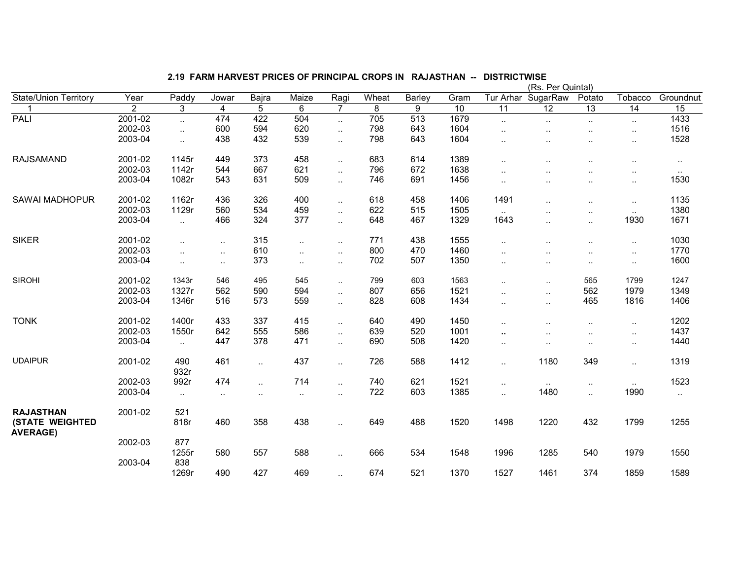| 2.19 FARM HARVEST PRICES OF PRINCIPAL CROPS IN RAJASTHAN -- DISTRICTWISE |  |
|--------------------------------------------------------------------------|--|
|--------------------------------------------------------------------------|--|

|                                           |                |                      |                      |           |        |                      |       |               | (Rs. Per Quintal) |                      |                      |                        |                      |           |  |  |
|-------------------------------------------|----------------|----------------------|----------------------|-----------|--------|----------------------|-------|---------------|-------------------|----------------------|----------------------|------------------------|----------------------|-----------|--|--|
| <b>State/Union Territory</b>              | Year           | Paddy                | Jowar                | Bajra     | Maize  | Ragi                 | Wheat | <b>Barley</b> | Gram              | Tur Arhar            | SugarRaw             | Potato                 | Tobacco              | Groundnut |  |  |
|                                           | $\overline{2}$ | 3                    | $\overline{4}$       | 5         | 6      | $\overline{7}$       | 8     | 9             | 10                | 11                   | 12                   | 13                     | 14                   | 15        |  |  |
| PALI                                      | 2001-02        | $\ddotsc$            | 474                  | 422       | 504    | $\ddotsc$            | 705   | 513           | 1679              | $\sim$               | $\sim$               | $\sim$                 | $\ldots$             | 1433      |  |  |
|                                           | 2002-03        | $\ddotsc$            | 600                  | 594       | 620    | $\mathbf{r}$ .       | 798   | 643           | 1604              | $\ddotsc$            |                      | $\ddotsc$              | $\ddotsc$            | 1516      |  |  |
|                                           | 2003-04        | $\sim$               | 438                  | 432       | 539    | $\ddotsc$            | 798   | 643           | 1604              | $\ddotsc$            | ٠.                   | $\ddotsc$              | $\cdot$ .            | 1528      |  |  |
| <b>RAJSAMAND</b>                          | 2001-02        | 1145r                | 449                  | 373       | 458    | $\ldots$             | 683   | 614           | 1389              | $\ddotsc$            | ٠.                   | $\ddotsc$              | $\cdot$ .            | $\cdot$ . |  |  |
|                                           | 2002-03        | 1142r                | 544                  | 667       | 621    | $\ldots$             | 796   | 672           | 1638              | $\cdot$ .            |                      |                        | $\cdot$ .            | $\sim$    |  |  |
|                                           | 2003-04        | 1082r                | 543                  | 631       | 509    | $\ddot{\phantom{a}}$ | 746   | 691           | 1456              | $\ddotsc$            | $\cdot$ .            | $\cdot$ .              | $\ddotsc$            | 1530      |  |  |
| <b>SAWAI MADHOPUR</b>                     | 2001-02        | 1162r                | 436                  | 326       | 400    | $\ddotsc$            | 618   | 458           | 1406              | 1491                 |                      | $\ddotsc$              | $\cdot$ .            | 1135      |  |  |
|                                           | 2002-03        | 1129r                | 560                  | 534       | 459    | $\ddotsc$            | 622   | 515           | 1505              | $\sim$               | . .                  | $\ddotsc$              |                      | 1380      |  |  |
|                                           | 2003-04        | $\sim$               | 466                  | 324       | 377    | $\ddotsc$            | 648   | 467           | 1329              | 1643                 |                      | $\cdot$ .              | 1930                 | 1671      |  |  |
| <b>SIKER</b>                              | 2001-02        | $\ddot{\phantom{a}}$ | $\ddot{\phantom{a}}$ | 315       | $\sim$ | $\cdot$ .            | 771   | 438           | 1555              | $\ddot{\phantom{a}}$ | ٠.                   | $\ddotsc$              | $\ddot{\phantom{a}}$ | 1030      |  |  |
|                                           | 2002-03        | $\sim$               | $\ddotsc$            | 610       | $\sim$ | $\ldots$             | 800   | 470           | 1460              | $\ddot{\phantom{a}}$ |                      | $\ddot{\phantom{a}}$ . | $\ddotsc$            | 1770      |  |  |
|                                           | 2003-04        | $\sim$               | $\sim$               | 373       | $\sim$ | $\ldots$             | 702   | 507           | 1350              | $\cdot$ .            | $\sim$               | $\ddotsc$              | $\cdot$ .            | 1600      |  |  |
| <b>SIROHI</b>                             | 2001-02        | 1343r                | 546                  | 495       | 545    | ä.                   | 799   | 603           | 1563              | $\ddot{\phantom{a}}$ | $\ddotsc$            | 565                    | 1799                 | 1247      |  |  |
|                                           | 2002-03        | 1327r                | 562                  | 590       | 594    | $\ldots$             | 807   | 656           | 1521              | $\ddotsc$            | $\cdot$ .            | 562                    | 1979                 | 1349      |  |  |
|                                           | 2003-04        | 1346r                | 516                  | 573       | 559    | $\ddotsc$            | 828   | 608           | 1434              | $\ddotsc$            | $\sim$               | 465                    | 1816                 | 1406      |  |  |
| <b>TONK</b>                               | 2001-02        | 1400r                | 433                  | 337       | 415    | $\ldots$             | 640   | 490           | 1450              | $\cdot$ .            |                      | $\ddotsc$              | $\cdot$ .            | 1202      |  |  |
|                                           | 2002-03        | 1550r                | 642                  | 555       | 586    | $\ddotsc$            | 639   | 520           | 1001              |                      |                      |                        | $\cdot$ .            | 1437      |  |  |
|                                           | 2003-04        | $\ddotsc$            | 447                  | 378       | 471    | $\ddot{\phantom{a}}$ | 690   | 508           | 1420              | $\ddot{\phantom{a}}$ | $\ddot{\phantom{a}}$ | $\ddot{\phantom{a}}$   | $\cdot$ .            | 1440      |  |  |
| <b>UDAIPUR</b>                            | 2001-02        | 490<br>932r          | 461                  | $\ddotsc$ | 437    | $\ddotsc$            | 726   | 588           | 1412              | $\ddotsc$            | 1180                 | 349                    | $\ddotsc$            | 1319      |  |  |
|                                           | 2002-03        | 992r                 | 474                  | $\ddotsc$ | 714    | $\ddotsc$            | 740   | 621           | 1521              | $\sim$               | $\sim$               | $\cdot$ .              | $\ddotsc$            | 1523      |  |  |
|                                           | 2003-04        | $\sim$               | $\ddotsc$            | $\sim$    | $\sim$ | $\ldots$             | 722   | 603           | 1385              | $\ddotsc$            | 1480                 | $\ddotsc$              | 1990                 | $\sim$    |  |  |
| <b>RAJASTHAN</b>                          | 2001-02        | 521                  |                      |           |        |                      |       |               |                   |                      |                      |                        |                      |           |  |  |
| <b>(STATE WEIGHTED</b><br><b>AVERAGE)</b> |                | 818r                 | 460                  | 358       | 438    | $\ldots$             | 649   | 488           | 1520              | 1498                 | 1220                 | 432                    | 1799                 | 1255      |  |  |
|                                           | 2002-03        | 877                  |                      |           |        |                      |       |               |                   |                      |                      |                        |                      |           |  |  |
|                                           |                | 1255r                | 580                  | 557       | 588    | ٠.                   | 666   | 534           | 1548              | 1996                 | 1285                 | 540                    | 1979                 | 1550      |  |  |
|                                           | 2003-04        | 838                  |                      |           |        |                      |       |               |                   |                      |                      |                        |                      |           |  |  |
|                                           |                | 1269r                | 490                  | 427       | 469    | $\ddot{\phantom{a}}$ | 674   | 521           | 1370              | 1527                 | 1461                 | 374                    | 1859                 | 1589      |  |  |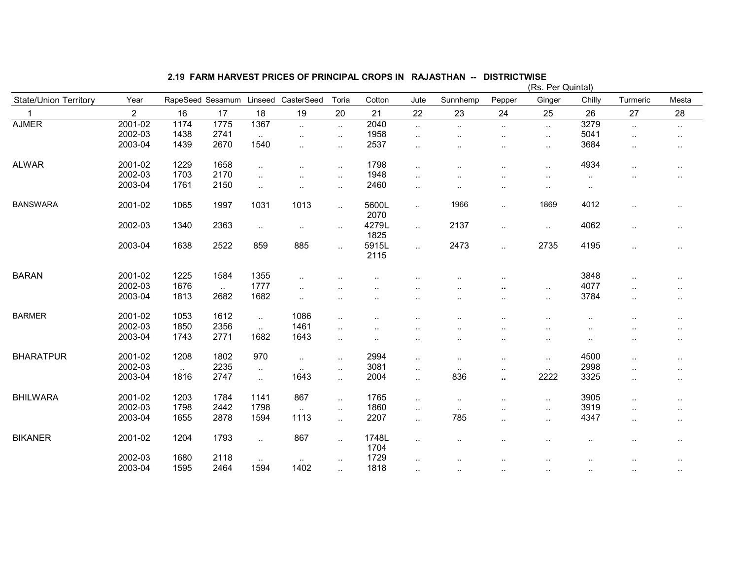|                              |                |                  |                |                             |                             |                      |                      |                      |                      |                      | (Rs. Per Quintal)    |           |                      |                      |
|------------------------------|----------------|------------------|----------------|-----------------------------|-----------------------------|----------------------|----------------------|----------------------|----------------------|----------------------|----------------------|-----------|----------------------|----------------------|
| <b>State/Union Territory</b> | Year           | RapeSeed Sesamum |                | Linseed                     | CasterSeed                  | Toria                | Cotton               | Jute                 | Sunnhemp             | Pepper               | Ginger               | Chilly    | Turmeric             | Mesta                |
| 1                            | $\overline{2}$ | 16               | 17             | 18                          | 19                          | 20                   | 21                   | 22                   | 23                   | 24                   | 25                   | 26        | 27                   | 28                   |
| <b>AJMER</b>                 | 2001-02        | 1174             | 1775           | 1367                        | $\sim$                      | $\ddot{\phantom{a}}$ | 2040                 | $\ddotsc$            | $\sim$               | $\sim$               | $\ddot{\phantom{a}}$ | 3279      | $\ddotsc$            | $\ldots$             |
|                              | 2002-03        | 1438             | 2741           | $\ddotsc$                   | $\sim$                      | $\ddotsc$            | 1958                 | $\ddot{\phantom{a}}$ | $\ddotsc$            | ٠.                   | $\ddotsc$            | 5041      | $\ddotsc$            | $\ddot{\phantom{0}}$ |
|                              | 2003-04        | 1439             | 2670           | 1540                        | $\ddotsc$                   | $\cdot$ .            | 2537                 | $\ddot{\phantom{a}}$ | ٠.                   | ٠.                   | $\ddotsc$            | 3684      | $\ddotsc$            | $\cdot$ .            |
| <b>ALWAR</b>                 | 2001-02        | 1229             | 1658           | $\ddotsc$                   | $\ddotsc$                   | $\cdot$ .            | 1798                 |                      | ٠.                   |                      | $\cdot$ .            | 4934      |                      | $\cdot$ .            |
|                              | 2002-03        | 1703             | 2170           | $\ddotsc$                   | $\ddot{\phantom{a}}$        | $\cdot$ .            | 1948                 | $\ddotsc$            |                      | $\cdot$ .            | $\ddot{\phantom{a}}$ | $\sim$    |                      |                      |
|                              | 2003-04        | 1761             | 2150           | $\ldots$                    | $\sim$                      | $\cdot$ .            | 2460                 | $\ddot{\phantom{a}}$ | $\ddot{\phantom{a}}$ |                      | $\ddot{\phantom{a}}$ | $\ddotsc$ |                      |                      |
| <b>BANSWARA</b>              | 2001-02        | 1065             | 1997           | 1031                        | 1013                        | $\ddotsc$            | 5600L<br>2070        | $\sim$               | 1966                 | $\sim$               | 1869                 | 4012      | ٠.                   | $\sim$               |
|                              | 2002-03        | 1340             | 2363           | $\sim$                      | $\sim$                      | $\cdot$ .            | 4279L<br>1825        | $\ddot{\phantom{a}}$ | 2137                 | $\ddot{\phantom{1}}$ | $\sim$               | 4062      | $\cdot$ .            | $\cdot$ .            |
|                              | 2003-04        | 1638             | 2522           | 859                         | 885                         | $\ddotsc$            | 5915L<br>2115        | $\ddotsc$            | 2473                 | $\ddotsc$            | 2735                 | 4195      | $\cdot$ .            | $\cdot$ .            |
| <b>BARAN</b>                 | 2001-02        | 1225             | 1584           | 1355                        | $\ddotsc$                   |                      |                      |                      |                      |                      |                      | 3848      | $\cdot$              | $\cdot$ .            |
|                              | 2002-03        | 1676             |                | 1777                        |                             |                      |                      |                      |                      |                      |                      | 4077      |                      |                      |
|                              | 2003-04        | 1813             | $\sim$<br>2682 | 1682                        | $\sim$                      |                      |                      |                      |                      | ٠.                   | $\ddotsc$            | 3784      |                      |                      |
|                              |                |                  |                |                             | $\sim$ $\sim$               |                      |                      |                      | ٠.                   |                      | $\ddot{\phantom{1}}$ |           | $\ddot{\phantom{a}}$ |                      |
| <b>BARMER</b>                | 2001-02        | 1053             | 1612           | $\mathcal{L}_{\mathcal{A}}$ | 1086                        | $\ddot{\phantom{a}}$ | $\ddot{\phantom{a}}$ |                      | $\ddot{\phantom{a}}$ | $\ddot{\phantom{a}}$ | $\ddotsc$            | $\ddotsc$ |                      |                      |
|                              | 2002-03        | 1850             | 2356           | $\ddotsc$                   | 1461                        | $\ddot{\phantom{a}}$ |                      |                      |                      |                      | $\ddot{\phantom{a}}$ |           |                      | $\sim$               |
|                              | 2003-04        | 1743             | 2771           | 1682                        | 1643                        | $\cdot$ .            | $\cdot$ .            | $\ddotsc$            | ٠.                   | $\ddotsc$            | $\sim$               | $\ddotsc$ | $\ddot{\phantom{a}}$ | $\cdot$ .            |
| <b>BHARATPUR</b>             | 2001-02        | 1208             | 1802           | 970                         | $\mathcal{L}_{\mathcal{A}}$ | $\cdot$ .            | 2994                 | $\sim$               | $\sim$               | $\ddot{\phantom{a}}$ | $\ddotsc$            | 4500      | $\cdot$              |                      |
|                              | 2002-03        | $\sim$ .         | 2235           | $\ddotsc$                   | $\sim$                      | $\ddot{\phantom{a}}$ | 3081                 | $\sim$               | $\sim$ $\sim$        |                      | $\sim$               | 2998      |                      | $\sim$               |
|                              | 2003-04        | 1816             | 2747           | $\ddotsc$                   | 1643                        | $\ddotsc$            | 2004                 | $\sim$               | 836                  | ٠.                   | 2222                 | 3325      | $\ddotsc$            | $\sim$               |
| <b>BHILWARA</b>              | 2001-02        | 1203             | 1784           | 1141                        | 867                         | $\ddotsc$            | 1765                 | $\ddot{\phantom{a}}$ | $\sim$               | $\ddot{\phantom{1}}$ | $\ddotsc$            | 3905      | $\ddotsc$            | $\cdot$ .            |
|                              | 2002-03        | 1798             | 2442           | 1798                        |                             |                      | 1860                 |                      |                      |                      |                      | 3919      |                      |                      |
|                              | 2003-04        | 1655             | 2878           | 1594                        | $\sim$ .<br>1113            | $\ddotsc$            | 2207                 | $\ddotsc$            | $\sim$<br>785        | $\ddot{\phantom{a}}$ | $\ddotsc$            | 4347      | $\cdot$ .            |                      |
|                              |                |                  |                |                             |                             | $\cdot$ .            |                      | $\ddotsc$            |                      | ٠.                   | $\sim$               |           | $\cdot$ .            | $\cdot$ .            |
| <b>BIKANER</b>               | 2001-02        | 1204             | 1793           | $\ddotsc$                   | 867                         | $\ddotsc$            | 1748L<br>1704        | $\ddotsc$            | ٠.                   |                      | $\ddotsc$            |           |                      | $\cdot$ .            |
|                              | 2002-03        | 1680             | 2118           | $\cdot$ .                   | $\ddotsc$                   | $\ddot{\phantom{a}}$ | 1729                 | ٠.                   |                      |                      |                      |           |                      |                      |
|                              | 2003-04        | 1595             | 2464           | 1594                        | 1402                        | $\ddot{\phantom{a}}$ | 1818                 | ٠.                   | $\sim$               | $\ddotsc$            | $\cdot$ .            | $\sim$    |                      | $\cdot$ .            |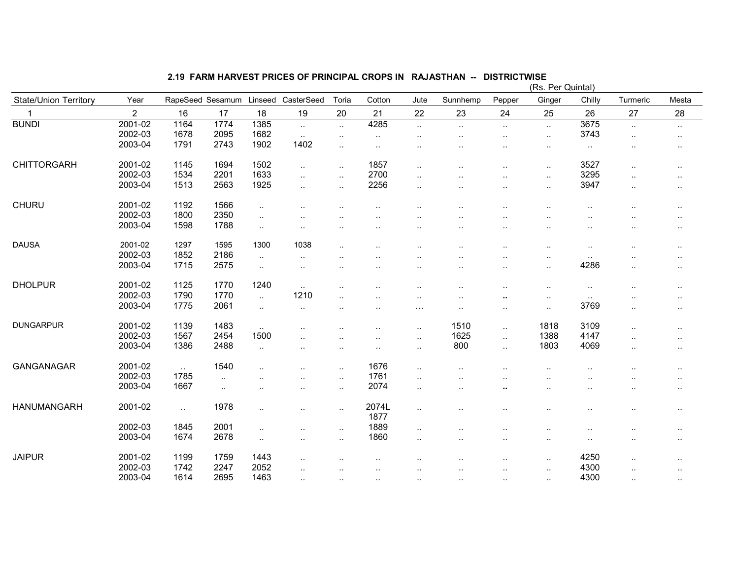# 2.19 FARM HARVEST PRICES OF PRINCIPAL CROPS IN RAJASTHAN -- DISTRICTWISE (Rs. Per Quintal)

|                              |                |                   |                  |                      |                      |               |                      |                      |                      |                      | (RS. Per Quintal)      |                   |                      |                      |
|------------------------------|----------------|-------------------|------------------|----------------------|----------------------|---------------|----------------------|----------------------|----------------------|----------------------|------------------------|-------------------|----------------------|----------------------|
| <b>State/Union Territory</b> | Year           |                   | RapeSeed Sesamum | Linseed              | CasterSeed           | Toria         | Cotton               | Jute                 | Sunnhemp             | Pepper               | Ginger                 | Chilly            | Turmeric             | Mesta                |
|                              | $\overline{2}$ | 16                | 17               | 18                   | 19                   | 20            | 21                   | 22                   | 23                   | 24                   | 25                     | 26                | 27                   | 28                   |
| <b>BUNDI</b>                 | 2001-02        | 1164              | 1774             | 1385                 | $\sim$               | $\ldots$      | 4285                 | $\ldots$             | $\sim$               | $\sim$               | $\ddotsc$              | 3675              | $\ddotsc$            | $\cdot$              |
|                              | 2002-03        | 1678              | 2095             | 1682                 | $\sim$               | $\cdot$ .     | $\ldots$             | $\cdot$ .            | $\ddotsc$            | $\cdot$ .            | $\cdot$ .              | 3743              | $\ddotsc$            | $\sim$               |
|                              | 2003-04        | 1791              | 2743             | 1902                 | 1402                 | $\ddotsc$     | $\cdot$ .            | $\sim$               | $\ddotsc$            | $\ddot{\phantom{a}}$ | $\cdot$ .              | $\cdot$ .         |                      | $\sim$               |
| <b>CHITTORGARH</b>           | 2001-02        | 1145              | 1694             | 1502                 | $\ddotsc$            | $\ldots$      | 1857                 | $\cdot$ .            | $\ddot{\phantom{a}}$ | $\ddotsc$            | $\ddotsc$              | 3527              | $\ddot{\phantom{a}}$ | $\ddotsc$            |
|                              | 2002-03        | 1534              | 2201             | 1633                 | $\ddotsc$            | $\ldots$      | 2700                 | $\ddotsc$            |                      |                      | $\cdot$ .              | 3295              |                      | $\ddotsc$            |
|                              | 2003-04        | 1513              | 2563             | 1925                 | $\ddotsc$            | $\ddotsc$     | 2256                 | $\cdot$ .            |                      | $\cdot$ .            | $\ddot{\phantom{a}}$   | 3947              | $\ddotsc$            | $\ddotsc$            |
| <b>CHURU</b>                 | 2001-02        | 1192              | 1566             | $\cdot$ .            |                      |               |                      |                      |                      |                      |                        | $\ddotsc$         |                      | $\ddotsc$            |
|                              | 2002-03        | 1800              | 2350             | $\ddot{\phantom{a}}$ | ٠.                   |               |                      |                      |                      | . .                  |                        |                   |                      | $\cdot$ .            |
|                              | 2003-04        | 1598              | 1788             | $\ddot{\phantom{a}}$ | $\ddotsc$            |               |                      | $\cdot$ .            |                      |                      | $\cdot$ .              |                   |                      | $\cdot$ .            |
| <b>DAUSA</b>                 | 2001-02        | 1297              | 1595             | 1300                 | 1038                 |               |                      |                      |                      |                      |                        |                   |                      |                      |
|                              | 2002-03        | 1852              | 2186             |                      |                      | $\ddotsc$     | $\ddotsc$            | $\ddotsc$            | $\cdot$ .            | $\cdot$ .            | $\ddot{\phantom{1}}$ . | $\ddotsc$         |                      | $\sim$               |
|                              | 2003-04        | 1715              | 2575             | $\ddotsc$            | $\ddotsc$            |               |                      |                      |                      |                      | $\sim$                 | $\ddotsc$<br>4286 |                      | $\ddot{\phantom{a}}$ |
|                              |                |                   |                  | $\sim$               | $\ddotsc$            |               |                      | $\sim$               | $\ddotsc$            | $\ddot{\phantom{a}}$ | $\cdot$ .              |                   | ٠.                   | $\ddot{\phantom{1}}$ |
| <b>DHOLPUR</b>               | 2001-02        | 1125              | 1770             | 1240                 | $\sim$               | $\cdot$ .     |                      | $\ddotsc$            | $\cdot$ .            |                      | $\sim$                 | $\sim$            |                      | $\ddot{\phantom{1}}$ |
|                              | 2002-03        | 1790              | 1770             | $\ddotsc$            | 1210                 | $\cdot$ .     |                      | $\cdot$ .            | $\cdot$ .            | $\sim$               | $\cdot$ .              | $\cdot$ .         |                      | $\sim$               |
|                              | 2003-04        | 1775              | 2061             | $\ldots$             | $\ddotsc$            | $\ddotsc$     | $\ddotsc$            | $\sim$ $\sim$ $\sim$ | $\sim$               | $\sim$ $\sim$        | $\cdot$ .              | 3769              | $\ddotsc$            | $\cdot$ .            |
| <b>DUNGARPUR</b>             | 2001-02        | 1139              | 1483             | $\ddotsc$            | $\ddot{\phantom{a}}$ |               | $\cdot$ .            | $\cdot$ .            | 1510                 | $\ddotsc$            | 1818                   | 3109              | $\ddot{\phantom{a}}$ | $\ddot{\phantom{1}}$ |
|                              | 2002-03        | 1567              | 2454             | 1500                 | ٠.                   | $\cdot$ .     | $\ddotsc$            | $\cdot$ .            | 1625                 | $\ldots$             | 1388                   | 4147              | $\ddotsc$            | $\ddotsc$            |
|                              | 2003-04        | 1386              | 2488             | $\cdot$ .            | ٠.                   |               |                      | $\cdot$ .            | 800                  | $\ddotsc$            | 1803                   | 4069              | ٠.                   | $\ddotsc$            |
| GANGANAGAR                   | 2001-02        |                   | 1540             |                      |                      |               | 1676                 |                      |                      |                      |                        |                   |                      |                      |
|                              | 2002-03        | $\ddotsc$<br>1785 |                  |                      | . .                  | $\ddotsc$     | 1761                 | $\cdot$ .            | $\ddot{\phantom{a}}$ |                      |                        |                   |                      | $\ddot{\phantom{a}}$ |
|                              | 2003-04        | 1667              | $\ddotsc$        |                      | $\ddotsc$            | $\cdot$ .     | 2074                 | $\cdot$ .            |                      |                      |                        |                   |                      | ٠.                   |
|                              |                |                   | $\ddotsc$        | $\cdot$ .            | $\cdot$ .            | $\sim$ $\sim$ |                      | $\cdot$ .            | $\cdot$ .            | $\sim$               | $\cdot$ .              |                   | $\ddotsc$            | $\ddotsc$            |
| <b>HANUMANGARH</b>           | 2001-02        | $\ddotsc$         | 1978             | $\cdot$ .            | $\ddotsc$            | $\ddotsc$     | 2074L<br>1877        | $\cdot$ .            | $\ddot{\phantom{a}}$ | $\cdot$ .            | $\ddot{\phantom{a}}$   |                   | $\ddotsc$            | $\sim$               |
|                              | 2002-03        | 1845              | 2001             | $\cdot$ .            | ٠.                   | $\ddotsc$     | 1889                 | $\cdot$ .            |                      |                      | $\ddot{\phantom{a}}$   | $\ddotsc$         |                      | $\ddot{\phantom{1}}$ |
|                              | 2003-04        | 1674              | 2678             | $\cdot$ .            |                      | $\cdot$ .     | 1860                 | $\sim$               |                      |                      | $\cdot$ .              |                   |                      | $\cdot$ .            |
| <b>JAIPUR</b>                | 2001-02        | 1199              | 1759             | 1443                 |                      |               |                      |                      |                      |                      |                        | 4250              |                      |                      |
|                              | 2002-03        | 1742              | 2247             | 2052                 | $\cdot$ .            |               | $\cdot$ .            | $\cdot$ .            | $\ddotsc$            | $\ddot{\phantom{a}}$ | $\cdot$ .              | 4300              | $\ddotsc$            | $\ddot{\phantom{1}}$ |
|                              | 2003-04        | 1614              | 2695             | 1463                 | $\cdot$ .            |               |                      | $\ddot{\phantom{0}}$ | $\ddotsc$            | $\ddot{\phantom{a}}$ | $\cdot$ .              | 4300              |                      | ٠.                   |
|                              |                |                   |                  |                      | $\ddotsc$            | $\ddotsc$     | $\ddot{\phantom{a}}$ | $\ddot{\phantom{a}}$ | $\ddot{\phantom{a}}$ | $\ddotsc$            | $\cdot$ .              |                   | $\ddotsc$            | $\ddotsc$            |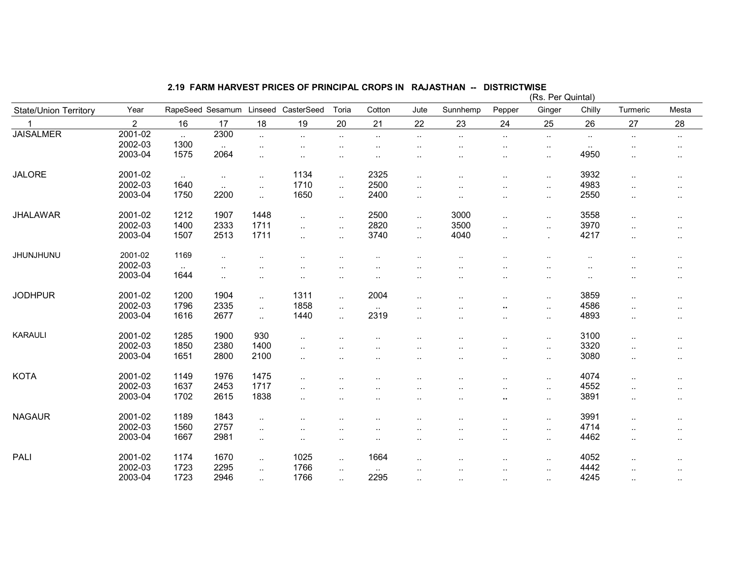|                              |                |                |                      |           |                        |                      |               |                      |           |                      | (Rs. Per Quintal) |           |                      |                        |
|------------------------------|----------------|----------------|----------------------|-----------|------------------------|----------------------|---------------|----------------------|-----------|----------------------|-------------------|-----------|----------------------|------------------------|
| <b>State/Union Territory</b> | Year           |                | RapeSeed Sesamum     | Linseed   | CasterSeed             | Toria                | Cotton        | Jute                 | Sunnhemp  | Pepper               | Ginger            | Chilly    | Turmeric             | Mesta                  |
| 1                            | $\overline{2}$ | 16             | 17                   | 18        | 19                     | 20                   | 21            | 22                   | 23        | 24                   | 25                | 26        | 27                   | 28                     |
| <b>JAISALMER</b>             | 2001-02        | $\sim$         | 2300                 | $\ddotsc$ | $\ddotsc$              | $\cdot$ .            | $\sim$        | $\cdots$             | $\ldots$  | $\sim$               | $\sim$            | $\ldots$  | $\sim$               | $\cdot$ .              |
|                              | 2002-03        | 1300           | $\sim$               | $\ldots$  | $\ddotsc$              |                      |               |                      |           | $\cdot$ .            | $\sim$            | $\cdot$ . |                      | $\cdot$ .              |
|                              | 2003-04        | 1575           | 2064                 | $\cdot$ . | $\ddotsc$              | $\ddot{\phantom{a}}$ |               |                      |           | $\cdot$ .            | ٠.                | 4950      | $\cdot$ .            | $\sim$                 |
| <b>JALORE</b>                | 2001-02        | $\ddotsc$      | $\ldots$             | $\ldots$  | 1134                   | $\ldots$             | 2325          | $\cdot$ .            |           | $\cdot$ .            | $\ldots$          | 3932      | $\ddotsc$            | $\sim$                 |
|                              | 2002-03        | 1640           | $\ddotsc$            | $\ddotsc$ | 1710                   | $\ddotsc$            | 2500          | $\cdot$ .            | $\cdot$ . | $\ddotsc$            | $\ldots$          | 4983      | $\ddotsc$            | $\sim$                 |
|                              | 2003-04        | 1750           | 2200                 | $\ddotsc$ | 1650                   | $\ddotsc$            | 2400          | $\sim$               | $\cdot$ . | $\ddotsc$            | $\ldots$          | 2550      | $\sim$               | $\sim$                 |
| <b>JHALAWAR</b>              | 2001-02        | 1212           | 1907                 | 1448      | $\ddotsc$              | $\cdot$ .            | 2500          | $\ddotsc$            | 3000      | $\cdot$ .            | $\ddotsc$         | 3558      | $\ddot{\phantom{a}}$ | $\sim$                 |
|                              | 2002-03        | 1400           | 2333                 | 1711      | $\ddotsc$              | $\ddotsc$            | 2820          | $\ddotsc$            | 3500      | $\ddotsc$            |                   | 3970      | $\ddotsc$            |                        |
|                              | 2003-04        | 1507           | 2513                 | 1711      |                        |                      | 3740          |                      | 4040      |                      | $\ldots$          | 4217      |                      | $\sim$                 |
|                              |                |                |                      |           | $\ddotsc$              | $\ddotsc$            |               | $\ddotsc$            |           | $\ddotsc$            | $\mathbf{r}$      |           | $\sim$               | $\sim$                 |
| JHUNJHUNU                    | 2001-02        | 1169           | $\ddotsc$            |           |                        |                      |               |                      |           |                      |                   |           | $\ddotsc$            | $\ddot{\phantom{1}}$ . |
|                              | 2002-03        | $\sim 10^{-1}$ | $\ddot{\phantom{a}}$ | $\cdot$ . | $\ddot{\phantom{a}}$   | $\cdot$ .            | $\cdot$ .     |                      |           | $\cdot$ .            | $\cdot$ .         | $\cdot$ . | $\ddot{\phantom{a}}$ | $\sim$                 |
|                              | 2003-04        | 1644           | $\ddotsc$            | $\ldots$  | $\ddotsc$              | $\ddotsc$            | $\ddotsc$     |                      |           | $\cdot$ .            | $\sim$            | $\ddotsc$ | $\cdot$ .            | $\sim$                 |
| <b>JODHPUR</b>               | 2001-02        | 1200           | 1904                 | $\ddotsc$ | 1311                   | $\ddotsc$            | 2004          | $\ddot{\phantom{a}}$ | $\ddotsc$ | $\ddotsc$            | $\ldots$          | 3859      | $\ddotsc$            | $\sim$                 |
|                              | 2002-03        | 1796           | 2335                 | $\ddotsc$ | 1858                   | $\ldots$             | $\sim$        |                      |           | н.                   | $\sim$            | 4586      | $\cdot$ .            | $\sim$                 |
|                              | 2003-04        | 1616           | 2677                 | $\ddotsc$ | 1440                   | $\ddotsc$            | 2319          | $\ddot{\phantom{a}}$ |           | $\ddotsc$            | $\sim$            | 4893      | $\ddotsc$            | $\sim$                 |
| <b>KARAULI</b>               | 2001-02        | 1285           | 1900                 | 930       | $\ddot{\phantom{a}}$ . |                      |               |                      |           | $\cdot$ .            | $\ddotsc$         | 3100      | $\ddotsc$            | $\sim$                 |
|                              | 2002-03        | 1850           | 2380                 | 1400      | $\ddotsc$              |                      |               |                      |           | $\cdot$ .            | $\ddotsc$         | 3320      | $\ddotsc$            | $\sim$                 |
|                              | 2003-04        | 1651           | 2800                 | 2100      |                        |                      |               |                      |           |                      |                   | 3080      |                      |                        |
|                              |                |                |                      |           | $\ddotsc$              |                      |               | $\cdot$ .            |           | $\cdot$ .            | $\sim$            |           | $\ddot{\phantom{a}}$ | $\ddotsc$              |
| <b>KOTA</b>                  | 2001-02        | 1149           | 1976                 | 1475      | $\ddotsc$              |                      |               |                      |           | $\ddot{\phantom{a}}$ | $\ddotsc$         | 4074      | $\ddotsc$            | $\sim$                 |
|                              | 2002-03        | 1637           | 2453                 | 1717      | $\ddotsc$              |                      |               |                      |           | $\cdot$ .            | $\sim$            | 4552      | $\cdot$ .            | $\ddotsc$              |
|                              | 2003-04        | 1702           | 2615                 | 1838      | $\ddotsc$              | $\ddotsc$            | $\cdot$ .     | $\cdot$ .            | $\cdot$ . |                      | $\sim$            | 3891      | $\sim$               | $\sim$                 |
| <b>NAGAUR</b>                | 2001-02        | 1189           | 1843                 | $\ddotsc$ | $\ddot{\phantom{a}}$   | $\cdot$ .            |               | . .                  |           | $\cdot$ .            | $\sim$            | 3991      | $\ddotsc$            | $\sim$                 |
|                              | 2002-03        | 1560           | 2757                 |           |                        |                      |               |                      |           |                      |                   | 4714      |                      |                        |
|                              | 2003-04        | 1667           | 2981                 | $\ddotsc$ | $\ddotsc$              |                      | . .           |                      |           | $\ddotsc$            | $\sim$            | 4462      | $\ddotsc$            | $\sim$                 |
|                              |                |                |                      | $\ddotsc$ | $\ddot{\phantom{1}}$   | $\cdot$ .            | $\cdot$ .     | $\ddotsc$            | $\cdot$ . | $\cdot$ .            | $\ldots$          |           | $\ddotsc$            | $\sim$                 |
| PALI                         | 2001-02        | 1174           | 1670                 | $\ddotsc$ | 1025                   | $\ddotsc$            | 1664          | $\ddot{\phantom{a}}$ |           | $\cdot$ .            | $\sim$            | 4052      | $\ddot{\phantom{a}}$ | $\sim$                 |
|                              | 2002-03        | 1723           | 2295                 | $\ddotsc$ | 1766                   | $\ddotsc$            | $\sim$ $\sim$ | . .                  | $\cdot$ . | $\cdot$ .            | $\sim$            | 4442      | $\ddot{\phantom{a}}$ | $\sim$                 |
|                              | 2003-04        | 1723           | 2946                 | $\sim$    | 1766                   | $\sim$               | 2295          | $\sim$               | $\sim$    | $\sim$               | $\sim$            | 4245      | $\cdot$ .            | $\sim$                 |